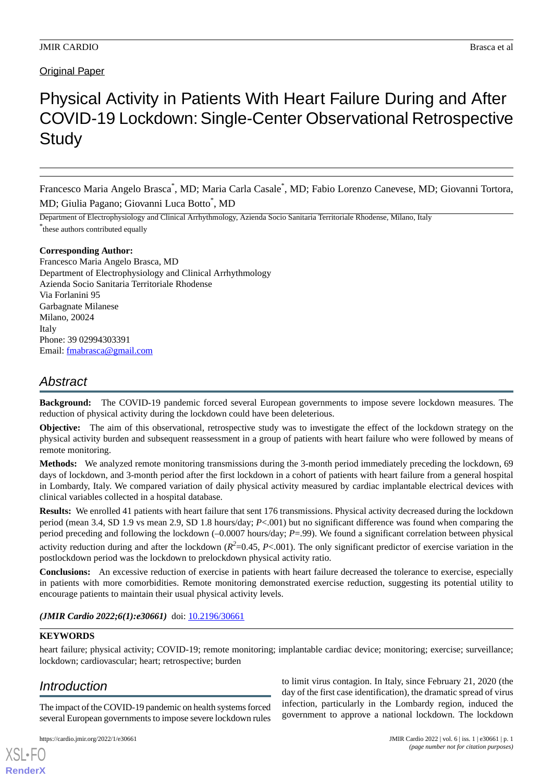## Original Paper

# Physical Activity in Patients With Heart Failure During and After COVID-19 Lockdown:Single-Center Observational Retrospective **Study**

Francesco Maria Angelo Brasca\*, MD; Maria Carla Casale\*, MD; Fabio Lorenzo Canevese, MD; Giovanni Tortora, MD; Giulia Pagano; Giovanni Luca Botto\* , MD

Department of Electrophysiology and Clinical Arrhythmology, Azienda Socio Sanitaria Territoriale Rhodense, Milano, Italy \* these authors contributed equally

#### **Corresponding Author:**

Francesco Maria Angelo Brasca, MD Department of Electrophysiology and Clinical Arrhythmology Azienda Socio Sanitaria Territoriale Rhodense Via Forlanini 95 Garbagnate Milanese Milano, 20024 Italy Phone: 39 02994303391 Email: [fmabrasca@gmail.com](mailto:fmabrasca@gmail.com)

# *Abstract*

**Background:** The COVID-19 pandemic forced several European governments to impose severe lockdown measures. The reduction of physical activity during the lockdown could have been deleterious.

**Objective:** The aim of this observational, retrospective study was to investigate the effect of the lockdown strategy on the physical activity burden and subsequent reassessment in a group of patients with heart failure who were followed by means of remote monitoring.

**Methods:** We analyzed remote monitoring transmissions during the 3-month period immediately preceding the lockdown, 69 days of lockdown, and 3-month period after the first lockdown in a cohort of patients with heart failure from a general hospital in Lombardy, Italy. We compared variation of daily physical activity measured by cardiac implantable electrical devices with clinical variables collected in a hospital database.

**Results:** We enrolled 41 patients with heart failure that sent 176 transmissions. Physical activity decreased during the lockdown period (mean 3.4, SD 1.9 vs mean 2.9, SD 1.8 hours/day; *P*<.001) but no significant difference was found when comparing the period preceding and following the lockdown (–0.0007 hours/day; *P*=.99). We found a significant correlation between physical

activity reduction during and after the lockdown ( $R^2$ =0.45, P<.001). The only significant predictor of exercise variation in the postlockdown period was the lockdown to prelockdown physical activity ratio.

**Conclusions:** An excessive reduction of exercise in patients with heart failure decreased the tolerance to exercise, especially in patients with more comorbidities. Remote monitoring demonstrated exercise reduction, suggesting its potential utility to encourage patients to maintain their usual physical activity levels.

#### *(JMIR Cardio 2022;6(1):e30661)* doi: [10.2196/30661](http://dx.doi.org/10.2196/30661)

#### **KEYWORDS**

heart failure; physical activity; COVID-19; remote monitoring; implantable cardiac device; monitoring; exercise; surveillance; lockdown; cardiovascular; heart; retrospective; burden

# *Introduction*

[XSL](http://www.w3.org/Style/XSL)•FO **[RenderX](http://www.renderx.com/)**

The impact of the COVID-19 pandemic on health systems forced several European governments to impose severe lockdown rules

to limit virus contagion. In Italy, since February 21, 2020 (the day of the first case identification), the dramatic spread of virus infection, particularly in the Lombardy region, induced the government to approve a national lockdown. The lockdown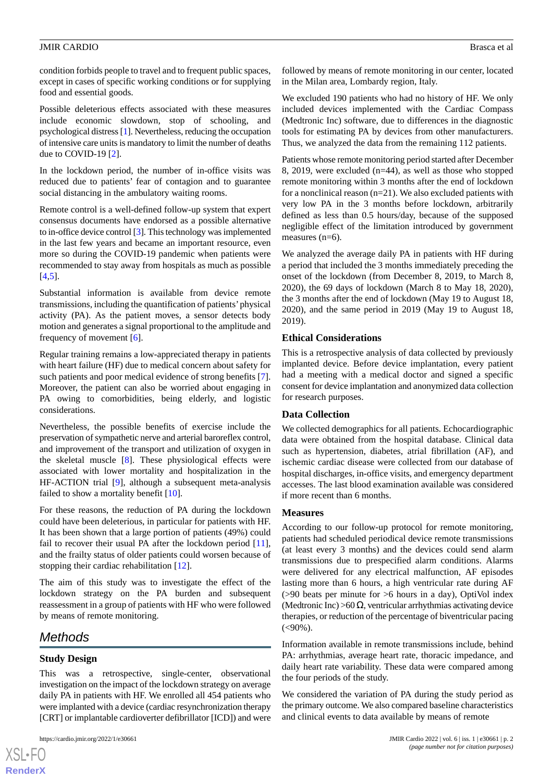condition forbids people to travel and to frequent public spaces, except in cases of specific working conditions or for supplying food and essential goods.

Possible deleterious effects associated with these measures include economic slowdown, stop of schooling, and psychological distress [[1\]](#page-5-0). Nevertheless, reducing the occupation of intensive care units is mandatory to limit the number of deaths due to COVID-19 [\[2](#page-5-1)].

In the lockdown period, the number of in-office visits was reduced due to patients' fear of contagion and to guarantee social distancing in the ambulatory waiting rooms.

Remote control is a well-defined follow-up system that expert consensus documents have endorsed as a possible alternative to in-office device control [[3\]](#page-5-2). This technology was implemented in the last few years and became an important resource, even more so during the COVID-19 pandemic when patients were recommended to stay away from hospitals as much as possible  $[4,5]$  $[4,5]$  $[4,5]$  $[4,5]$ .

Substantial information is available from device remote transmissions, including the quantification of patients'physical activity (PA). As the patient moves, a sensor detects body motion and generates a signal proportional to the amplitude and frequency of movement [\[6](#page-5-5)].

Regular training remains a low-appreciated therapy in patients with heart failure (HF) due to medical concern about safety for such patients and poor medical evidence of strong benefits [[7\]](#page-5-6). Moreover, the patient can also be worried about engaging in PA owing to comorbidities, being elderly, and logistic considerations.

Nevertheless, the possible benefits of exercise include the preservation of sympathetic nerve and arterial baroreflex control, and improvement of the transport and utilization of oxygen in the skeletal muscle [\[8](#page-5-7)]. These physiological effects were associated with lower mortality and hospitalization in the HF-ACTION trial [\[9](#page-5-8)], although a subsequent meta-analysis failed to show a mortality benefit [[10\]](#page-5-9).

For these reasons, the reduction of PA during the lockdown could have been deleterious, in particular for patients with HF. It has been shown that a large portion of patients (49%) could fail to recover their usual PA after the lockdown period [[11\]](#page-5-10), and the frailty status of older patients could worsen because of stopping their cardiac rehabilitation [[12\]](#page-5-11).

The aim of this study was to investigate the effect of the lockdown strategy on the PA burden and subsequent reassessment in a group of patients with HF who were followed by means of remote monitoring.

### *Methods*

#### **Study Design**

 $XS$  $\cdot$ FC **[RenderX](http://www.renderx.com/)**

This was a retrospective, single-center, observational investigation on the impact of the lockdown strategy on average daily PA in patients with HF. We enrolled all 454 patients who were implanted with a device (cardiac resynchronization therapy [CRT] or implantable cardioverter defibrillator [ICD]) and were

followed by means of remote monitoring in our center, located in the Milan area, Lombardy region, Italy.

We excluded 190 patients who had no history of HF. We only included devices implemented with the Cardiac Compass (Medtronic Inc) software, due to differences in the diagnostic tools for estimating PA by devices from other manufacturers. Thus, we analyzed the data from the remaining 112 patients.

Patients whose remote monitoring period started after December 8, 2019, were excluded (n=44), as well as those who stopped remote monitoring within 3 months after the end of lockdown for a nonclinical reason (n=21). We also excluded patients with very low PA in the 3 months before lockdown, arbitrarily defined as less than 0.5 hours/day, because of the supposed negligible effect of the limitation introduced by government measures (n=6).

We analyzed the average daily PA in patients with HF during a period that included the 3 months immediately preceding the onset of the lockdown (from December 8, 2019, to March 8, 2020), the 69 days of lockdown (March 8 to May 18, 2020), the 3 months after the end of lockdown (May 19 to August 18, 2020), and the same period in 2019 (May 19 to August 18, 2019).

#### **Ethical Considerations**

This is a retrospective analysis of data collected by previously implanted device. Before device implantation, every patient had a meeting with a medical doctor and signed a specific consent for device implantation and anonymized data collection for research purposes.

#### **Data Collection**

We collected demographics for all patients. Echocardiographic data were obtained from the hospital database. Clinical data such as hypertension, diabetes, atrial fibrillation (AF), and ischemic cardiac disease were collected from our database of hospital discharges, in-office visits, and emergency department accesses. The last blood examination available was considered if more recent than 6 months.

#### **Measures**

According to our follow-up protocol for remote monitoring, patients had scheduled periodical device remote transmissions (at least every 3 months) and the devices could send alarm transmissions due to prespecified alarm conditions. Alarms were delivered for any electrical malfunction, AF episodes lasting more than 6 hours, a high ventricular rate during AF (>90 beats per minute for >6 hours in a day), OptiVol index (Medtronic Inc) >60  $\Omega$ , ventricular arrhythmias activating device therapies, or reduction of the percentage of biventricular pacing  $(<,90\%)$ .

Information available in remote transmissions include, behind PA: arrhythmias, average heart rate, thoracic impedance, and daily heart rate variability. These data were compared among the four periods of the study.

We considered the variation of PA during the study period as the primary outcome. We also compared baseline characteristics and clinical events to data available by means of remote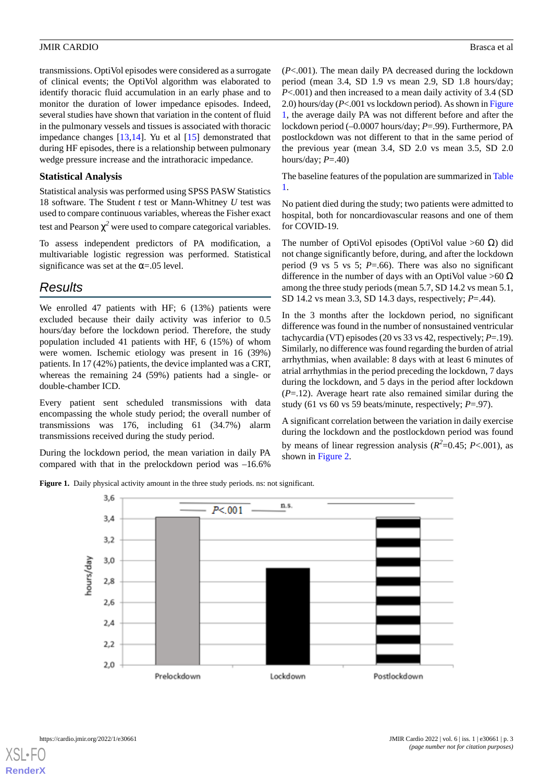transmissions. OptiVol episodes were considered as a surrogate of clinical events; the OptiVol algorithm was elaborated to identify thoracic fluid accumulation in an early phase and to monitor the duration of lower impedance episodes. Indeed, several studies have shown that variation in the content of fluid in the pulmonary vessels and tissues is associated with thoracic impedance changes [\[13](#page-6-0),[14\]](#page-6-1). Yu et al [[15\]](#page-6-2) demonstrated that during HF episodes, there is a relationship between pulmonary wedge pressure increase and the intrathoracic impedance.

#### **Statistical Analysis**

Statistical analysis was performed using SPSS PASW Statistics 18 software. The Student *t* test or Mann-Whitney *U* test was used to compare continuous variables, whereas the Fisher exact test and Pearson  $\chi^2$  were used to compare categorical variables.

To assess independent predictors of PA modification, a multivariable logistic regression was performed. Statistical significance was set at the  $\alpha = .05$  level.

## *Results*

We enrolled 47 patients with HF; 6 (13%) patients were excluded because their daily activity was inferior to 0.5 hours/day before the lockdown period. Therefore, the study population included 41 patients with HF, 6 (15%) of whom were women. Ischemic etiology was present in 16 (39%) patients. In 17 (42%) patients, the device implanted was a CRT, whereas the remaining 24 (59%) patients had a single- or double-chamber ICD.

Every patient sent scheduled transmissions with data encompassing the whole study period; the overall number of transmissions was 176, including 61 (34.7%) alarm transmissions received during the study period.

<span id="page-2-0"></span>During the lockdown period, the mean variation in daily PA compared with that in the prelockdown period was –16.6%

(*P*<.001). The mean daily PA decreased during the lockdown period (mean 3.4, SD 1.9 vs mean 2.9, SD 1.8 hours/day; *P*<.001) and then increased to a mean daily activity of 3.4 (SD 2.0) hours/day (*P*<.001 vs lockdown period). As shown in [Figure](#page-2-0) [1,](#page-2-0) the average daily PA was not different before and after the lockdown period (–0.0007 hours/day; *P*=.99). Furthermore, PA postlockdown was not different to that in the same period of the previous year (mean 3.4, SD 2.0 vs mean 3.5, SD 2.0 hours/day; *P*=.40)

The baseline features of the population are summarized in [Table](#page-3-0) [1.](#page-3-0)

No patient died during the study; two patients were admitted to hospital, both for noncardiovascular reasons and one of them for COVID-19.

The number of OptiVol episodes (OptiVol value >60  $\Omega$ ) did not change significantly before, during, and after the lockdown period (9 vs 5 vs 5; *P*=.66). There was also no significant difference in the number of days with an OptiVol value >60  $\Omega$ among the three study periods (mean 5.7, SD 14.2 vs mean 5.1, SD 14.2 vs mean 3.3, SD 14.3 days, respectively; *P*=.44).

In the 3 months after the lockdown period, no significant difference was found in the number of nonsustained ventricular tachycardia (VT) episodes (20 vs 33 vs 42, respectively; *P*=.19). Similarly, no difference was found regarding the burden of atrial arrhythmias, when available: 8 days with at least 6 minutes of atrial arrhythmias in the period preceding the lockdown, 7 days during the lockdown, and 5 days in the period after lockdown (*P*=.12). Average heart rate also remained similar during the study (61 vs 60 vs 59 beats/minute, respectively; *P*=.97).

A significant correlation between the variation in daily exercise during the lockdown and the postlockdown period was found by means of linear regression analysis  $(R^2=0.45; P<.001)$ , as shown in [Figure 2.](#page-3-1)

**Figure 1.** Daily physical activity amount in the three study periods. ns: not significant.



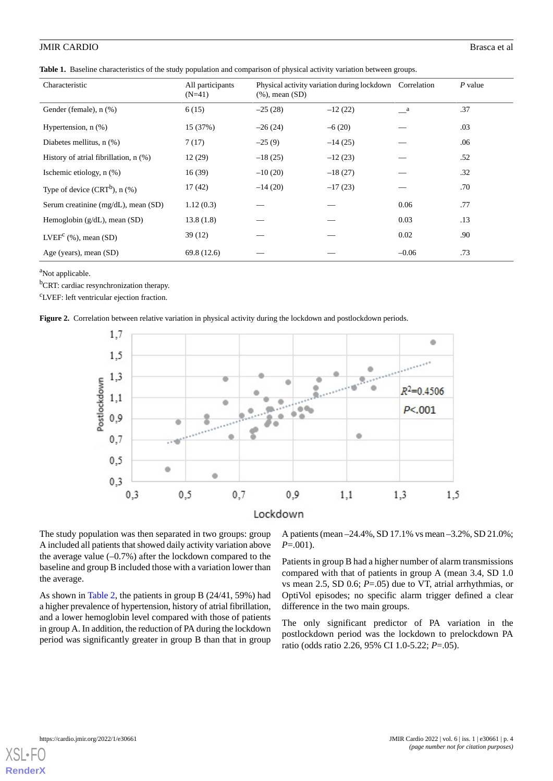<span id="page-3-0"></span>

|                                       | $\sim$ 1 1                   |                      |                                                         |         |         |
|---------------------------------------|------------------------------|----------------------|---------------------------------------------------------|---------|---------|
| Characteristic                        | All participants<br>$(N=41)$ | $(\%)$ , mean $(SD)$ | Physical activity variation during lockdown Correlation |         | P value |
| Gender (female), n (%)                | 6(15)                        | $-25(28)$            | $-12(22)$                                               | a       | .37     |
| Hypertension, $n$ $(\%)$              | 15 (37%)                     | $-26(24)$            | $-6(20)$                                                |         | .03     |
| Diabetes mellitus, $n$ $(\%)$         | 7(17)                        | $-25(9)$             | $-14(25)$                                               |         | .06     |
| History of atrial fibrillation, n (%) | 12(29)                       | $-18(25)$            | $-12(23)$                                               |         | .52     |
| Ischemic etiology, $n$ $(\%)$         | 16(39)                       | $-10(20)$            | $-18(27)$                                               |         | .32     |
| Type of device $(CRT^b)$ , n $(\%)$   | 17(42)                       | $-14(20)$            | $-17(23)$                                               |         | .70     |
| Serum creatinine (mg/dL), mean (SD)   | 1.12(0.3)                    |                      |                                                         | 0.06    | .77     |
| Hemoglobin $(g/dL)$ , mean $(SD)$     | 13.8(1.8)                    |                      |                                                         | 0.03    | .13     |
| $LVEFc$ (%), mean (SD)                | 39(12)                       |                      |                                                         | 0.02    | .90     |
| Age (years), mean (SD)                | 69.8 (12.6)                  |                      |                                                         | $-0.06$ | .73     |

<sup>a</sup>Not applicable.

<span id="page-3-1"></span><sup>b</sup>CRT: cardiac resynchronization therapy.

<sup>c</sup>LVEF: left ventricular ejection fraction.

**Figure 2.** Correlation between relative variation in physical activity during the lockdown and postlockdown periods.



The study population was then separated in two groups: group A included all patients that showed daily activity variation above the average value  $(-0.7\%)$  after the lockdown compared to the baseline and group B included those with a variation lower than the average.

As shown in [Table 2,](#page-4-0) the patients in group B (24/41, 59%) had a higher prevalence of hypertension, history of atrial fibrillation, and a lower hemoglobin level compared with those of patients in group A. In addition, the reduction of PA during the lockdown period was significantly greater in group B than that in group

A patients (mean –24.4%, SD 17.1% vs mean –3.2%, SD 21.0%; *P*=.001).

Patients in group B had a higher number of alarm transmissions compared with that of patients in group A (mean 3.4, SD 1.0 vs mean 2.5, SD 0.6; *P*=.05) due to VT, atrial arrhythmias, or OptiVol episodes; no specific alarm trigger defined a clear difference in the two main groups.

The only significant predictor of PA variation in the postlockdown period was the lockdown to prelockdown PA ratio (odds ratio 2.26, 95% CI 1.0-5.22; *P*=.05).

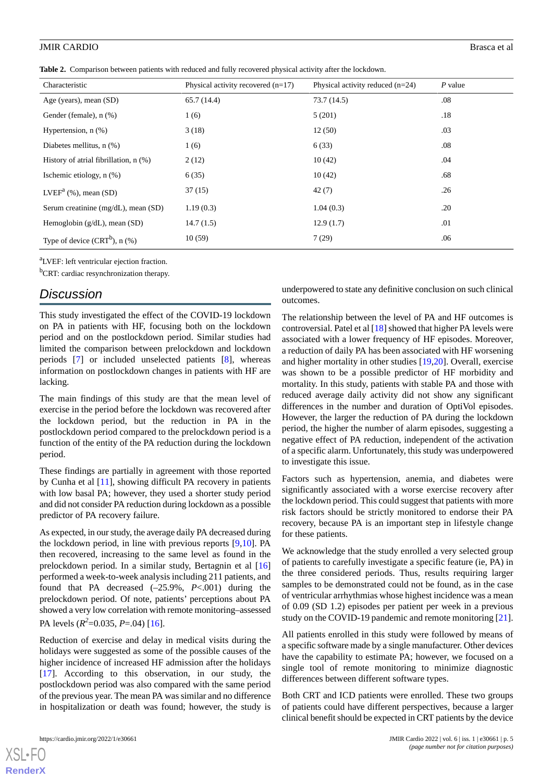<span id="page-4-0"></span>**Table 2.** Comparison between patients with reduced and fully recovered physical activity after the lockdown.

| Characteristic                        | Physical activity recovered $(n=17)$ | Physical activity reduced $(n=24)$ | $P$ value |
|---------------------------------------|--------------------------------------|------------------------------------|-----------|
| Age (years), mean (SD)                | 65.7(14.4)                           | 73.7(14.5)                         | .08       |
| Gender (female), n (%)                | 1(6)                                 | 5(201)                             | .18       |
| Hypertension, $n$ $(\%)$              | 3(18)                                | 12(50)                             | .03       |
| Diabetes mellitus, $n$ $(\%)$         | 1(6)                                 | 6(33)                              | .08       |
| History of atrial fibrillation, n (%) | 2(12)                                | 10(42)                             | .04       |
| Ischemic etiology, $n$ $(\%)$         | 6(35)                                | 10(42)                             | .68       |
| $LVEFa$ (%), mean (SD)                | 37(15)                               | 42(7)                              | .26       |
| Serum creatinine (mg/dL), mean (SD)   | 1.19(0.3)                            | 1.04(0.3)                          | .20       |
| Hemoglobin $(g/dL)$ , mean $(SD)$     | 14.7(1.5)                            | 12.9(1.7)                          | .01       |
| Type of device $(CRT^b)$ , n $(\%)$   | 10(59)                               | 7(29)                              | .06       |

<sup>a</sup>LVEF: left ventricular ejection fraction.

<sup>b</sup>CRT: cardiac resynchronization therapy.

### *Discussion*

This study investigated the effect of the COVID-19 lockdown on PA in patients with HF, focusing both on the lockdown period and on the postlockdown period. Similar studies had limited the comparison between prelockdown and lockdown periods [[7\]](#page-5-6) or included unselected patients [[8\]](#page-5-7), whereas information on postlockdown changes in patients with HF are lacking.

The main findings of this study are that the mean level of exercise in the period before the lockdown was recovered after the lockdown period, but the reduction in PA in the postlockdown period compared to the prelockdown period is a function of the entity of the PA reduction during the lockdown period.

These findings are partially in agreement with those reported by Cunha et al [[11\]](#page-5-10), showing difficult PA recovery in patients with low basal PA; however, they used a shorter study period and did not consider PA reduction during lockdown as a possible predictor of PA recovery failure.

As expected, in our study, the average daily PA decreased during the lockdown period, in line with previous reports [\[9](#page-5-8),[10\]](#page-5-9). PA then recovered, increasing to the same level as found in the prelockdown period. In a similar study, Bertagnin et al [\[16](#page-6-3)] performed a week-to-week analysis including 211 patients, and found that PA decreased (–25.9%, *P*<.001) during the prelockdown period. Of note, patients' perceptions about PA showed a very low correlation with remote monitoring–assessed PA levels (*R 2* =0.035, *P*=.04) [[16\]](#page-6-3).

Reduction of exercise and delay in medical visits during the holidays were suggested as some of the possible causes of the higher incidence of increased HF admission after the holidays [[17\]](#page-6-4). According to this observation, in our study, the postlockdown period was also compared with the same period of the previous year. The mean PA was similar and no difference in hospitalization or death was found; however, the study is

[XSL](http://www.w3.org/Style/XSL)•FO **[RenderX](http://www.renderx.com/)**

underpowered to state any definitive conclusion on such clinical outcomes.

The relationship between the level of PA and HF outcomes is controversial. Patel et al [\[18](#page-6-5)] showed that higher PA levels were associated with a lower frequency of HF episodes. Moreover, a reduction of daily PA has been associated with HF worsening and higher mortality in other studies [[19,](#page-6-6)[20](#page-6-7)]. Overall, exercise was shown to be a possible predictor of HF morbidity and mortality. In this study, patients with stable PA and those with reduced average daily activity did not show any significant differences in the number and duration of OptiVol episodes. However, the larger the reduction of PA during the lockdown period, the higher the number of alarm episodes, suggesting a negative effect of PA reduction, independent of the activation of a specific alarm. Unfortunately, this study was underpowered to investigate this issue.

Factors such as hypertension, anemia, and diabetes were significantly associated with a worse exercise recovery after the lockdown period. This could suggest that patients with more risk factors should be strictly monitored to endorse their PA recovery, because PA is an important step in lifestyle change for these patients.

We acknowledge that the study enrolled a very selected group of patients to carefully investigate a specific feature (ie, PA) in the three considered periods. Thus, results requiring larger samples to be demonstrated could not be found, as in the case of ventricular arrhythmias whose highest incidence was a mean of 0.09 (SD 1.2) episodes per patient per week in a previous study on the COVID-19 pandemic and remote monitoring [[21\]](#page-6-8).

All patients enrolled in this study were followed by means of a specific software made by a single manufacturer. Other devices have the capability to estimate PA; however, we focused on a single tool of remote monitoring to minimize diagnostic differences between different software types.

Both CRT and ICD patients were enrolled. These two groups of patients could have different perspectives, because a larger clinical benefit should be expected in CRT patients by the device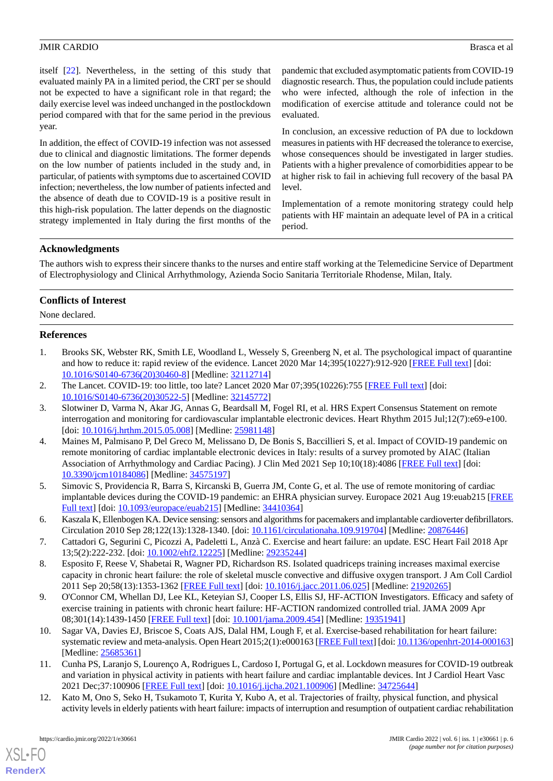itself [\[22](#page-6-9)]. Nevertheless, in the setting of this study that evaluated mainly PA in a limited period, the CRT per se should not be expected to have a significant role in that regard; the daily exercise level was indeed unchanged in the postlockdown period compared with that for the same period in the previous year.

In addition, the effect of COVID-19 infection was not assessed due to clinical and diagnostic limitations. The former depends on the low number of patients included in the study and, in particular, of patients with symptoms due to ascertained COVID infection; nevertheless, the low number of patients infected and the absence of death due to COVID-19 is a positive result in this high-risk population. The latter depends on the diagnostic strategy implemented in Italy during the first months of the pandemic that excluded asymptomatic patients from COVID-19 diagnostic research. Thus, the population could include patients who were infected, although the role of infection in the modification of exercise attitude and tolerance could not be evaluated.

In conclusion, an excessive reduction of PA due to lockdown measures in patients with HF decreased the tolerance to exercise, whose consequences should be investigated in larger studies. Patients with a higher prevalence of comorbidities appear to be at higher risk to fail in achieving full recovery of the basal PA level.

Implementation of a remote monitoring strategy could help patients with HF maintain an adequate level of PA in a critical period.

#### **Acknowledgments**

The authors wish to express their sincere thanks to the nurses and entire staff working at the Telemedicine Service of Department of Electrophysiology and Clinical Arrhythmology, Azienda Socio Sanitaria Territoriale Rhodense, Milan, Italy.

#### **Conflicts of Interest**

<span id="page-5-0"></span>None declared.

#### **References**

- <span id="page-5-2"></span><span id="page-5-1"></span>1. Brooks SK, Webster RK, Smith LE, Woodland L, Wessely S, Greenberg N, et al. The psychological impact of quarantine and how to reduce it: rapid review of the evidence. Lancet 2020 Mar 14;395(10227):912-920 [\[FREE Full text](http://europepmc.org/abstract/MED/32112714)] [doi: [10.1016/S0140-6736\(20\)30460-8\]](http://dx.doi.org/10.1016/S0140-6736(20)30460-8) [Medline: [32112714](http://www.ncbi.nlm.nih.gov/entrez/query.fcgi?cmd=Retrieve&db=PubMed&list_uids=32112714&dopt=Abstract)]
- 2. The Lancet. COVID-19: too little, too late? Lancet 2020 Mar 07;395(10226):755 [\[FREE Full text\]](http://europepmc.org/abstract/MED/32145772) [doi: [10.1016/S0140-6736\(20\)30522-5\]](http://dx.doi.org/10.1016/S0140-6736(20)30522-5) [Medline: [32145772](http://www.ncbi.nlm.nih.gov/entrez/query.fcgi?cmd=Retrieve&db=PubMed&list_uids=32145772&dopt=Abstract)]
- <span id="page-5-3"></span>3. Slotwiner D, Varma N, Akar JG, Annas G, Beardsall M, Fogel RI, et al. HRS Expert Consensus Statement on remote interrogation and monitoring for cardiovascular implantable electronic devices. Heart Rhythm 2015 Jul;12(7):e69-e100. [doi: [10.1016/j.hrthm.2015.05.008\]](http://dx.doi.org/10.1016/j.hrthm.2015.05.008) [Medline: [25981148\]](http://www.ncbi.nlm.nih.gov/entrez/query.fcgi?cmd=Retrieve&db=PubMed&list_uids=25981148&dopt=Abstract)
- <span id="page-5-4"></span>4. Maines M, Palmisano P, Del Greco M, Melissano D, De Bonis S, Baccillieri S, et al. Impact of COVID-19 pandemic on remote monitoring of cardiac implantable electronic devices in Italy: results of a survey promoted by AIAC (Italian Association of Arrhythmology and Cardiac Pacing). J Clin Med 2021 Sep 10;10(18):4086 [[FREE Full text](https://www.mdpi.com/resolver?pii=jcm10184086)] [doi: [10.3390/jcm10184086\]](http://dx.doi.org/10.3390/jcm10184086) [Medline: [34575197\]](http://www.ncbi.nlm.nih.gov/entrez/query.fcgi?cmd=Retrieve&db=PubMed&list_uids=34575197&dopt=Abstract)
- <span id="page-5-6"></span><span id="page-5-5"></span>5. Simovic S, Providencia R, Barra S, Kircanski B, Guerra JM, Conte G, et al. The use of remote monitoring of cardiac implantable devices during the COVID-19 pandemic: an EHRA physician survey. Europace 2021 Aug 19:euab215 [\[FREE](http://europepmc.org/abstract/MED/34410364) [Full text\]](http://europepmc.org/abstract/MED/34410364) [doi: [10.1093/europace/euab215](http://dx.doi.org/10.1093/europace/euab215)] [Medline: [34410364](http://www.ncbi.nlm.nih.gov/entrez/query.fcgi?cmd=Retrieve&db=PubMed&list_uids=34410364&dopt=Abstract)]
- <span id="page-5-7"></span>6. Kaszala K, Ellenbogen KA. Device sensing: sensors and algorithms for pacemakers and implantable cardioverter defibrillators. Circulation 2010 Sep 28;122(13):1328-1340. [doi: [10.1161/circulationaha.109.919704\]](http://dx.doi.org/10.1161/circulationaha.109.919704) [Medline: [20876446\]](http://www.ncbi.nlm.nih.gov/entrez/query.fcgi?cmd=Retrieve&db=PubMed&list_uids=20876446&dopt=Abstract)
- <span id="page-5-8"></span>7. Cattadori G, Segurini C, Picozzi A, Padeletti L, Anzà C. Exercise and heart failure: an update. ESC Heart Fail 2018 Apr 13;5(2):222-232. [doi: [10.1002/ehf2.12225](http://dx.doi.org/10.1002/ehf2.12225)] [Medline: [29235244\]](http://www.ncbi.nlm.nih.gov/entrez/query.fcgi?cmd=Retrieve&db=PubMed&list_uids=29235244&dopt=Abstract)
- <span id="page-5-9"></span>8. Esposito F, Reese V, Shabetai R, Wagner PD, Richardson RS. Isolated quadriceps training increases maximal exercise capacity in chronic heart failure: the role of skeletal muscle convective and diffusive oxygen transport. J Am Coll Cardiol 2011 Sep 20;58(13):1353-1362 [[FREE Full text](https://linkinghub.elsevier.com/retrieve/pii/S0735-1097(11)02423-5)] [doi: [10.1016/j.jacc.2011.06.025\]](http://dx.doi.org/10.1016/j.jacc.2011.06.025) [Medline: [21920265](http://www.ncbi.nlm.nih.gov/entrez/query.fcgi?cmd=Retrieve&db=PubMed&list_uids=21920265&dopt=Abstract)]
- <span id="page-5-10"></span>9. O'Connor CM, Whellan DJ, Lee KL, Keteyian SJ, Cooper LS, Ellis SJ, HF-ACTION Investigators. Efficacy and safety of exercise training in patients with chronic heart failure: HF-ACTION randomized controlled trial. JAMA 2009 Apr 08;301(14):1439-1450 [[FREE Full text](http://europepmc.org/abstract/MED/19351941)] [doi: [10.1001/jama.2009.454](http://dx.doi.org/10.1001/jama.2009.454)] [Medline: [19351941](http://www.ncbi.nlm.nih.gov/entrez/query.fcgi?cmd=Retrieve&db=PubMed&list_uids=19351941&dopt=Abstract)]
- <span id="page-5-11"></span>10. Sagar VA, Davies EJ, Briscoe S, Coats AJS, Dalal HM, Lough F, et al. Exercise-based rehabilitation for heart failure: systematic review and meta-analysis. Open Heart 2015;2(1):e000163 [\[FREE Full text\]](https://openheart.bmj.com/lookup/pmidlookup?view=long&pmid=25685361) [doi: [10.1136/openhrt-2014-000163\]](http://dx.doi.org/10.1136/openhrt-2014-000163) [Medline: [25685361](http://www.ncbi.nlm.nih.gov/entrez/query.fcgi?cmd=Retrieve&db=PubMed&list_uids=25685361&dopt=Abstract)]
- 11. Cunha PS, Laranjo S, Lourenço A, Rodrigues L, Cardoso I, Portugal G, et al. Lockdown measures for COVID-19 outbreak and variation in physical activity in patients with heart failure and cardiac implantable devices. Int J Cardiol Heart Vasc 2021 Dec;37:100906 [\[FREE Full text\]](https://linkinghub.elsevier.com/retrieve/pii/S2352-9067(21)00194-9) [doi: [10.1016/j.ijcha.2021.100906](http://dx.doi.org/10.1016/j.ijcha.2021.100906)] [Medline: [34725644\]](http://www.ncbi.nlm.nih.gov/entrez/query.fcgi?cmd=Retrieve&db=PubMed&list_uids=34725644&dopt=Abstract)
- 12. Kato M, Ono S, Seko H, Tsukamoto T, Kurita Y, Kubo A, et al. Trajectories of frailty, physical function, and physical activity levels in elderly patients with heart failure: impacts of interruption and resumption of outpatient cardiac rehabilitation

[XSL](http://www.w3.org/Style/XSL)•FO **[RenderX](http://www.renderx.com/)**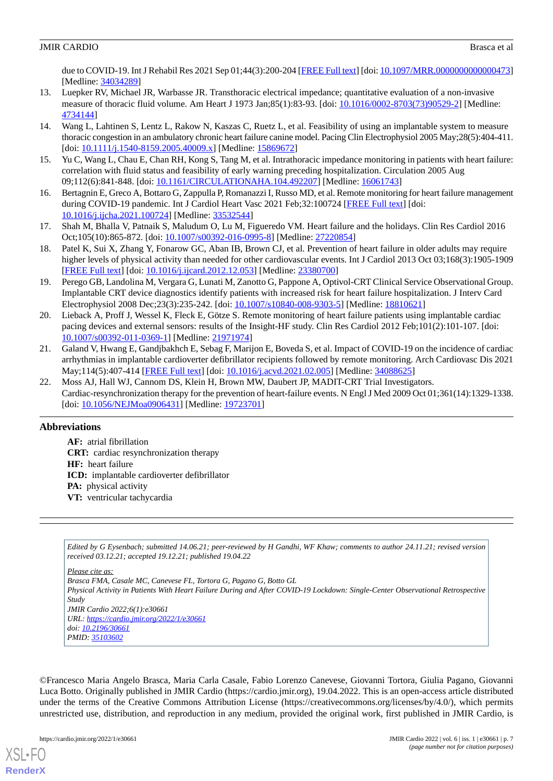due to COVID-19. Int J Rehabil Res 2021 Sep 01;44(3):200-204 [\[FREE Full text\]](http://europepmc.org/abstract/MED/34034289) [doi: 10.1097/MRR.00000000000000473] [Medline: [34034289](http://www.ncbi.nlm.nih.gov/entrez/query.fcgi?cmd=Retrieve&db=PubMed&list_uids=34034289&dopt=Abstract)]

- <span id="page-6-0"></span>13. Luepker RV, Michael JR, Warbasse JR. Transthoracic electrical impedance; quantitative evaluation of a non-invasive measure of thoracic fluid volume. Am Heart J 1973 Jan;85(1):83-93. [doi: [10.1016/0002-8703\(73\)90529-2](http://dx.doi.org/10.1016/0002-8703(73)90529-2)] [Medline: [4734144\]](http://www.ncbi.nlm.nih.gov/entrez/query.fcgi?cmd=Retrieve&db=PubMed&list_uids=4734144&dopt=Abstract)
- <span id="page-6-1"></span>14. Wang L, Lahtinen S, Lentz L, Rakow N, Kaszas C, Ruetz L, et al. Feasibility of using an implantable system to measure thoracic congestion in an ambulatory chronic heart failure canine model. Pacing Clin Electrophysiol 2005 May;28(5):404-411. [doi: [10.1111/j.1540-8159.2005.40009.x](http://dx.doi.org/10.1111/j.1540-8159.2005.40009.x)] [Medline: [15869672](http://www.ncbi.nlm.nih.gov/entrez/query.fcgi?cmd=Retrieve&db=PubMed&list_uids=15869672&dopt=Abstract)]
- <span id="page-6-3"></span><span id="page-6-2"></span>15. Yu C, Wang L, Chau E, Chan RH, Kong S, Tang M, et al. Intrathoracic impedance monitoring in patients with heart failure: correlation with fluid status and feasibility of early warning preceding hospitalization. Circulation 2005 Aug 09;112(6):841-848. [doi: [10.1161/CIRCULATIONAHA.104.492207\]](http://dx.doi.org/10.1161/CIRCULATIONAHA.104.492207) [Medline: [16061743\]](http://www.ncbi.nlm.nih.gov/entrez/query.fcgi?cmd=Retrieve&db=PubMed&list_uids=16061743&dopt=Abstract)
- <span id="page-6-4"></span>16. Bertagnin E, Greco A, Bottaro G, Zappulla P, Romanazzi I, Russo MD, et al. Remote monitoring for heart failure management during COVID-19 pandemic. Int J Cardiol Heart Vasc 2021 Feb;32:100724 [[FREE Full text\]](https://linkinghub.elsevier.com/retrieve/pii/S2352-9067(21)00012-9) [doi: [10.1016/j.ijcha.2021.100724\]](http://dx.doi.org/10.1016/j.ijcha.2021.100724) [Medline: [33532544](http://www.ncbi.nlm.nih.gov/entrez/query.fcgi?cmd=Retrieve&db=PubMed&list_uids=33532544&dopt=Abstract)]
- <span id="page-6-5"></span>17. Shah M, Bhalla V, Patnaik S, Maludum O, Lu M, Figueredo VM. Heart failure and the holidays. Clin Res Cardiol 2016 Oct;105(10):865-872. [doi: [10.1007/s00392-016-0995-8](http://dx.doi.org/10.1007/s00392-016-0995-8)] [Medline: [27220854\]](http://www.ncbi.nlm.nih.gov/entrez/query.fcgi?cmd=Retrieve&db=PubMed&list_uids=27220854&dopt=Abstract)
- <span id="page-6-6"></span>18. Patel K, Sui X, Zhang Y, Fonarow GC, Aban IB, Brown CJ, et al. Prevention of heart failure in older adults may require higher levels of physical activity than needed for other cardiovascular events. Int J Cardiol 2013 Oct 03:168(3):1905-1909 [[FREE Full text](http://europepmc.org/abstract/MED/23380700)] [doi: [10.1016/j.ijcard.2012.12.053](http://dx.doi.org/10.1016/j.ijcard.2012.12.053)] [Medline: [23380700](http://www.ncbi.nlm.nih.gov/entrez/query.fcgi?cmd=Retrieve&db=PubMed&list_uids=23380700&dopt=Abstract)]
- <span id="page-6-7"></span>19. Perego GB, Landolina M, Vergara G, Lunati M, Zanotto G, Pappone A, Optivol-CRT Clinical Service Observational Group. Implantable CRT device diagnostics identify patients with increased risk for heart failure hospitalization. J Interv Card Electrophysiol 2008 Dec;23(3):235-242. [doi: [10.1007/s10840-008-9303-5](http://dx.doi.org/10.1007/s10840-008-9303-5)] [Medline: [18810621\]](http://www.ncbi.nlm.nih.gov/entrez/query.fcgi?cmd=Retrieve&db=PubMed&list_uids=18810621&dopt=Abstract)
- <span id="page-6-8"></span>20. Lieback A, Proff J, Wessel K, Fleck E, Götze S. Remote monitoring of heart failure patients using implantable cardiac pacing devices and external sensors: results of the Insight-HF study. Clin Res Cardiol 2012 Feb;101(2):101-107. [doi: [10.1007/s00392-011-0369-1\]](http://dx.doi.org/10.1007/s00392-011-0369-1) [Medline: [21971974](http://www.ncbi.nlm.nih.gov/entrez/query.fcgi?cmd=Retrieve&db=PubMed&list_uids=21971974&dopt=Abstract)]
- <span id="page-6-9"></span>21. Galand V, Hwang E, Gandjbakhch E, Sebag F, Marijon E, Boveda S, et al. Impact of COVID-19 on the incidence of cardiac arrhythmias in implantable cardioverter defibrillator recipients followed by remote monitoring. Arch Cardiovasc Dis 2021 May;114(5):407-414 [\[FREE Full text\]](http://europepmc.org/abstract/MED/34088625) [doi: [10.1016/j.acvd.2021.02.005\]](http://dx.doi.org/10.1016/j.acvd.2021.02.005) [Medline: [34088625\]](http://www.ncbi.nlm.nih.gov/entrez/query.fcgi?cmd=Retrieve&db=PubMed&list_uids=34088625&dopt=Abstract)
- 22. Moss AJ, Hall WJ, Cannom DS, Klein H, Brown MW, Daubert JP, MADIT-CRT Trial Investigators. Cardiac-resynchronization therapy for the prevention of heart-failure events. N Engl J Med 2009 Oct 01;361(14):1329-1338. [doi: [10.1056/NEJMoa0906431\]](http://dx.doi.org/10.1056/NEJMoa0906431) [Medline: [19723701\]](http://www.ncbi.nlm.nih.gov/entrez/query.fcgi?cmd=Retrieve&db=PubMed&list_uids=19723701&dopt=Abstract)

#### **Abbreviations**

**AF:** atrial fibrillation **CRT:** cardiac resynchronization therapy **HF:** heart failure **ICD:** implantable cardioverter defibrillator **PA:** physical activity **VT:** ventricular tachycardia

*Edited by G Eysenbach; submitted 14.06.21; peer-reviewed by H Gandhi, WF Khaw; comments to author 24.11.21; revised version received 03.12.21; accepted 19.12.21; published 19.04.22*

*Please cite as:*

*Brasca FMA, Casale MC, Canevese FL, Tortora G, Pagano G, Botto GL Physical Activity in Patients With Heart Failure During and After COVID-19 Lockdown: Single-Center Observational Retrospective Study JMIR Cardio 2022;6(1):e30661 URL: <https://cardio.jmir.org/2022/1/e30661> doi: [10.2196/30661](http://dx.doi.org/10.2196/30661) PMID: [35103602](http://www.ncbi.nlm.nih.gov/entrez/query.fcgi?cmd=Retrieve&db=PubMed&list_uids=35103602&dopt=Abstract)*

©Francesco Maria Angelo Brasca, Maria Carla Casale, Fabio Lorenzo Canevese, Giovanni Tortora, Giulia Pagano, Giovanni Luca Botto. Originally published in JMIR Cardio (https://cardio.jmir.org), 19.04.2022. This is an open-access article distributed under the terms of the Creative Commons Attribution License (https://creativecommons.org/licenses/by/4.0/), which permits unrestricted use, distribution, and reproduction in any medium, provided the original work, first published in JMIR Cardio, is

[XSL](http://www.w3.org/Style/XSL)•FO **[RenderX](http://www.renderx.com/)**